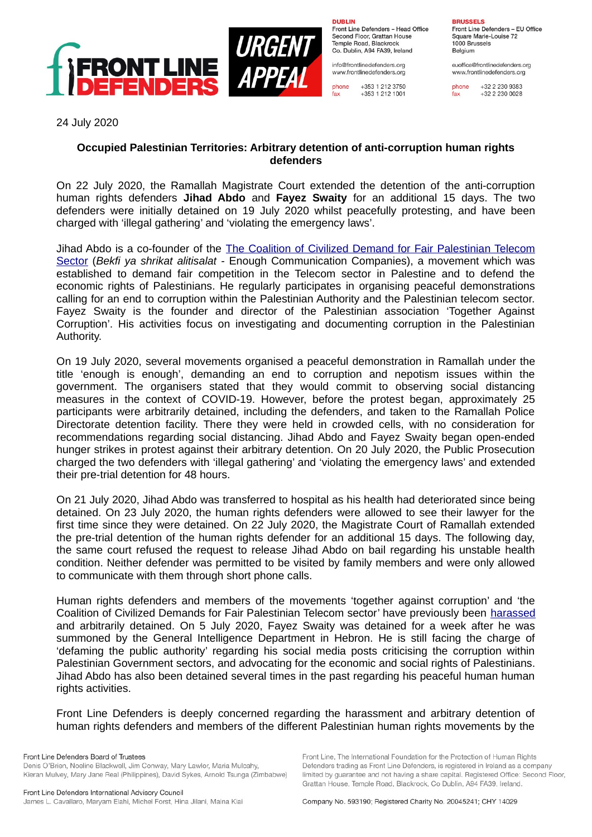

**DURLIN** Front Line Defenders - Head Office Second Floor, Grattan House Temple Boad, Blackrock Co. Dublin, A94 FA39, Ireland

info@frontlinedefenders.org www.frontlinedefenders.org

+353 1 212 3750 phone fax +353 1 212 1001

**BDHCCELC** Front Line Defenders - EU Office Square Marie-Louise 72 1000 Brussels

Belgium euoffice@frontlinedefenders.org

www.frontlinedefenders.org

phone +32 2 230 9383 fax +32 2 230 0028

24 July 2020

## **Occupied Palestinian Territories: Arbitrary detention of anti-corruption human rights defenders**

On 22 July 2020, the Ramallah Magistrate Court extended the detention of the anti-corruption human rights defenders **Jihad Abdo** and **Fayez Swaity** for an additional 15 days. The two defenders were initially detained on 19 July 2020 whilst peacefully protesting, and have been charged with 'illegal gathering' and 'violating the emergency laws'.

Jihad Abdo is a co-founder of the [The Coalition of Civilized Demand for Fair Palestinian Telecom](https://www.frontlinedefenders.org/en/organization/coalition-civilized-demand-fair-palestinian-telecom-sector) [Sector](https://www.frontlinedefenders.org/en/organization/coalition-civilized-demand-fair-palestinian-telecom-sector) (*Bekfi ya shrikat alitisalat -* Enough Communication Companies), a movement which was established to demand fair competition in the Telecom sector in Palestine and to defend the economic rights of Palestinians. He regularly participates in organising peaceful demonstrations calling for an end to corruption within the Palestinian Authority and the Palestinian telecom sector. Fayez Swaity is the founder and director of the Palestinian association 'Together Against Corruption'. His activities focus on investigating and documenting corruption in the Palestinian Authority.

On 19 July 2020, several movements organised a peaceful demonstration in Ramallah under the title 'enough is enough', demanding an end to corruption and nepotism issues within the government. The organisers stated that they would commit to observing social distancing measures in the context of COVID-19. However, before the protest began, approximately 25 participants were arbitrarily detained, including the defenders, and taken to the Ramallah Police Directorate detention facility. There they were held in crowded cells, with no consideration for recommendations regarding social distancing. Jihad Abdo and Fayez Swaity began open-ended hunger strikes in protest against their arbitrary detention. On 20 July 2020, the Public Prosecution charged the two defenders with 'illegal gathering' and 'violating the emergency laws' and extended their pre-trial detention for 48 hours.

On 21 July 2020, Jihad Abdo was transferred to hospital as his health had deteriorated since being detained. On 23 July 2020, the human rights defenders were allowed to see their lawyer for the first time since they were detained. On 22 July 2020, the Magistrate Court of Ramallah extended the pre-trial detention of the human rights defender for an additional 15 days. The following day, the same court refused the request to release Jihad Abdo on bail regarding his unstable health condition. Neither defender was permitted to be visited by family members and were only allowed to communicate with them through short phone calls.

Human rights defenders and members of the movements 'together against corruption' and 'the Coalition of Civilized Demands for Fair Palestinian Telecom sector' have previously been [harassed](https://www.frontlinedefenders.org/en/case/human-rights-defender-jasser-jaser-sentenced-charges-against-members-coalition-civilized-demand) and arbitrarily detained. On 5 July 2020, Fayez Swaity was detained for a week after he was summoned by the General Intelligence Department in Hebron. He is still facing the charge of 'defaming the public authority' regarding his social media posts criticising the corruption within Palestinian Government sectors, and advocating for the economic and social rights of Palestinians. Jihad Abdo has also been detained several times in the past regarding his peaceful human human rights activities.

Front Line Defenders is deeply concerned regarding the harassment and arbitrary detention of human rights defenders and members of the different Palestinian human rights movements by the

Denis O'Brien, Noeline Blackwell, Jim Conway, Mary Lawlor, Maria Mulcahy, Kieran Mulvey, Mary Jane Real (Philippines), David Sykes, Arnold Tsunga (Zimbabwe) Front Line, The International Foundation for the Protection of Human Rights

Defenders trading as Front Line Defenders, is registered in Ireland as a company

limited by guarantee and not having a share capital. Registered Office: Second Floor,